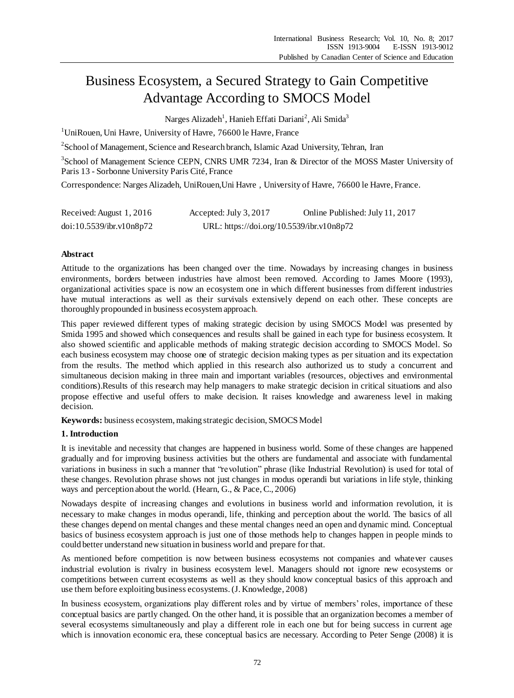# Business Ecosystem, a Secured Strategy to Gain Competitive Advantage According to SMOCS Model

Narges Alizadeh<sup>1</sup>, Hanieh Effati Dariani<sup>2</sup>, Ali Smida<sup>3</sup>

<sup>1</sup>UniRouen, Uni Havre, University of Havre, 76600 le Havre, France

<sup>2</sup> School of Management, Science and Research branch, Islamic Azad University, Tehran, Iran

<sup>3</sup>School of Management Science CEPN, CNRS UMR 7234, Iran & Director of the MOSS Master University of Paris 13 - Sorbonne University Paris Cité, France

Correspondence: Narges Alizadeh, UniRouen,Uni Havre , University of Havre, 76600 le Havre, France.

| Received: August 1, 2016 | Accepted: July 3, 2017                    | Online Published: July 11, 2017 |
|--------------------------|-------------------------------------------|---------------------------------|
| doi:10.5539/ibr.v10n8p72 | URL: https://doi.org/10.5539/ibr.v10n8p72 |                                 |

# **Abstract**

Attitude to the organizations has been changed over the time. Nowadays by increasing changes in business environments, borders between industries have almost been removed. According to James Moore (1993), organizational activities space is now an ecosystem one in which different businesses from different industries have mutual interactions as well as their survivals extensively depend on each other. These concepts are thoroughly propounded in business ecosystem approach.

This paper reviewed different types of making strategic decision by using SMOCS Model was presented by Smida 1995 and showed which consequences and results shall be gained in each type for business ecosystem. It also showed scientific and applicable methods of making strategic decision according to SMOCS Model. So each business ecosystem may choose one of strategic decision making types as per situation and its expectation from the results. The method which applied in this research also authorized us to study a concurrent and simultaneous decision making in three main and important variables (resources, objectives and environmental conditions).Results of this research may help managers to make strategic decision in critical situations and also propose effective and useful offers to make decision. It raises knowledge and awareness level in making decision.

**Keywords:** business ecosystem, making strategic decision, SMOCS Model

# **1. Introduction**

It is inevitable and necessity that changes are happened in business world. Some of these changes are happened gradually and for improving business activities but the others are fundamental and associate with fundamental variations in business in such a manner that "revolution" phrase (like Industrial Revolution) is used for total of these changes. Revolution phrase shows not just changes in modus operandi but variations in life style, thinking ways and perception about the world. (Hearn, G., & Pace,C., 2006)

Nowadays despite of increasing changes and evolutions in business world and information revolution, it is necessary to make changes in modus operandi, life, thinking and perception about the world. The basics of all these changes depend on mental changes and these mental changes need an open and dynamic mind. Conceptual basics of business ecosystem approach is just one of those methods help to changes happen in people minds to could better understand new situation in business world and prepare for that.

As mentioned before competition is now between business ecosystems not companies and whatever causes industrial evolution is rivalry in business ecosystem level. Managers should not ignore new ecosystems or competitions between current ecosystems as well as they should know conceptual basics of this approach and use them before exploiting business ecosystems. (J. Knowledge, 2008)

In business ecosystem, organizations play different roles and by virtue of members' roles, importance of these conceptual basics are partly changed. On the other hand, it is possible that an organization becomes a member of several ecosystems simultaneously and play a different role in each one but for being success in current age which is innovation economic era, these conceptual basics are necessary. According to Peter Senge (2008) it is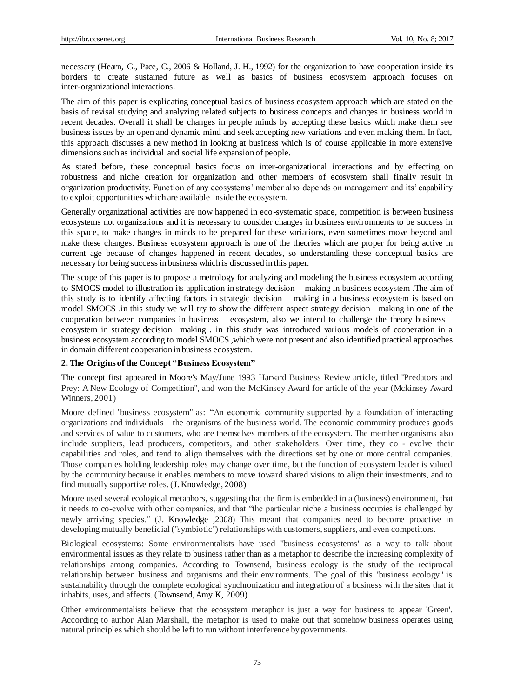necessary (Hearn, G., Pace, C., 2006 & Holland, J. H., 1992) for the organization to have cooperation inside its borders to create sustained future as well as basics of business ecosystem approach focuses on inter-organizational interactions.

The aim of this paper is explicating conceptual basics of business ecosystem approach which are stated on the basis of revisal studying and analyzing related subjects to business concepts and changes in business world in recent decades. Overall it shall be changes in people minds by accepting these basics which make them see business issues by an open and dynamic mind and seek accepting new variations and even making them. In fact, this approach discusses a new method in looking at business which is of course applicable in more extensive dimensions such as individual and social life expansion of people.

As stated before, these conceptual basics focus on inter-organizational interactions and by effecting on robustness and niche creation for organization and other members of ecosystem shall finally result in organization productivity. Function of any ecosystems' member also depends on management and its' capability to exploit opportunities which are available inside the ecosystem.

Generally organizational activities are now happened in eco-systematic space, competition is between business ecosystems not organizations and it is necessary to consider changes in business environments to be success in this space, to make changes in minds to be prepared for these variations, even sometimes move beyond and make these changes. Business ecosystem approach is one of the theories which are proper for being active in current age because of changes happened in recent decades, so understanding these conceptual basics are necessary for being success in business which is discussed in this paper.

The scope of this paper is to propose a metrology for analyzing and modeling the business ecosystem according to SMOCS model to illustration its application in strategy decision – making in business ecosystem .The aim of this study is to identify affecting factors in strategic decision – making in a business ecosystem is based on model SMOCS .in this study we will try to show the different aspect strategy decision –making in one of the cooperation between companies in business – ecosystem, also we intend to challenge the theory business – ecosystem in strategy decision –making . in this study was introduced various models of cooperation in a business ecosystem according to model SMOCS ,which were not present and also identified practical approaches in domain different cooperation in business ecosystem.

## **2. The Origins of the Concept "Business Ecosystem"**

The concept first appeared in Moore's May/June 1993 [Harvard Business Review](https://en.wikipedia.org/wiki/Harvard_Business_Review) article, titled "Predators and Prey: A New Ecology of Competition", and won the [McKinsey](https://en.wikipedia.org/wiki/McKinsey_%26_Company) Award for article of the year (Mckinsey Award Winners, 2001)

Moore defined "business ecosystem" as: "An economic community supported by a foundation of interacting organizations and individuals—the organisms of the business world. The economic community produces goods and services of value to customers, who are themselves members of the ecosystem. The member organisms also include suppliers, lead producers, competitors, and other stakeholders. Over time, they co - [evolve](https://en.wikipedia.org/wiki/Coevolve) their capabilities and roles, and tend to align themselves with the directions set by one or more central companies. Those companies holding leadership roles may change over time, but the function of ecosystem leader is valued by the community because it enables members to move toward shared visions to align their investments, and to find mutually supportive roles. (J. Knowledge, 2008)

Moore used several ecological [metaphors,](https://en.wikipedia.org/wiki/Metaphor) suggesting that the firm is embedded in a (business) environment, that it needs to co-evolve with other companies, and that "the particular [niche](https://en.wikipedia.org/wiki/Ecological_niche) a business occupies is challenged by newly arriving species." (J. Knowledge ,2008) This meant that companies need to become proactive in developing mutually beneficial (["symbiotic"](https://en.wikipedia.org/wiki/Symbiotic)) relationships with customers, suppliers, and even competitors.

Biological ecosystems: Some environmentalists have used "business ecosystems" as a way to talk about environmental issues as they relate to business rather than as a metaphor to describe the increasing complexity of relationships among companies. According to Townsend, business ecology is the study of the reciprocal relationship between business and organisms and their environments. The goal of this "business ecology" is sustainability through the complete ecological synchronization and integration of a business with the sites that it inhabits, uses, and affects. (Townsend, Amy K, 2009)

Other environmentalists believe that the ecosystem metaphor is just a way for business to appear 'Green'. According to author [Alan Marshall,](https://en.wikipedia.org/wiki/Alan_Marshall_(New_Zealand_author)) the metaphor is used to make out that somehow business operates using natural principles which should be left to run without interference by governments.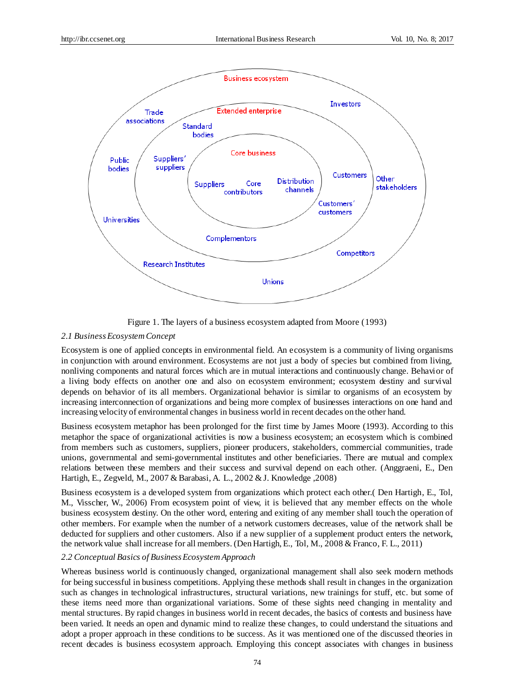

Figure 1. The layers of a business ecosystem adapted from Moore [\(1993](http://hbr.org/1993/05/predators-and-prey-a-new-ecology-of-competition/ar/1))

## *2.1 Business Ecosystem Concept*

Ecosystem is one of applied concepts in environmental field. An ecosystem is a community of living organisms in conjunction with around environment. Ecosystems are not just a body of species but combined from living, nonliving components and natural forces which are in mutual interactions and continuously change. Behavior of a living body effects on another one and also on ecosystem environment; ecosystem destiny and survival depends on behavior of its all members. Organizational behavior is similar to organisms of an ecosystem by increasing interconnection of organizations and being more complex of businesses interactions on one hand and increasing velocity of environmental changes in business world in recent decades on the other hand.

Business ecosystem metaphor has been prolonged for the first time by James Moore (1993). According to this metaphor the space of organizational activities is now a business ecosystem; an ecosystem which is combined from members such as customers, suppliers, pioneer producers, stakeholders, commercial communities, trade unions, governmental and semi-governmental institutes and other beneficiaries. There are mutual and complex relations between these members and their success and survival depend on each other. (Anggraeni, E., Den Hartigh, E., Zegveld, M., 2007 & Barabasi, A. L., 2002 & J. Knowledge ,2008)

Business ecosystem is a developed system from organizations which protect each other.( Den Hartigh, E., Tol, M., Visscher, W., 2006) From ecosystem point of view, it is believed that any member effects on the whole business ecosystem destiny. On the other word, entering and exiting of any member shall touch the operation of other members. For example when the number of a network customers decreases, value of the network shall be deducted for suppliers and other customers. Also if a new supplier of a supplement product enters the network, the network value shall increase for all members. (Den Hartigh, E., Tol, M., 2008 & Franco, F. L., 2011)

## *2.2 Conceptual Basics of Business Ecosystem Approach*

Whereas business world is continuously changed, organizational management shall also seek modern methods for being successful in business competitions. Applying these methods shall result in changes in the organization such as changes in technological infrastructures, structural variations, new trainings for stuff, etc. but some of these items need more than organizational variations. Some of these sights need changing in mentality and mental structures. By rapid changes in business world in recent decades, the basics of contests and business have been varied. It needs an open and dynamic mind to realize these changes, to could understand the situations and adopt a proper approach in these conditions to be success. As it was mentioned one of the discussed theories in recent decades is business ecosystem approach. Employing this concept associates with changes in business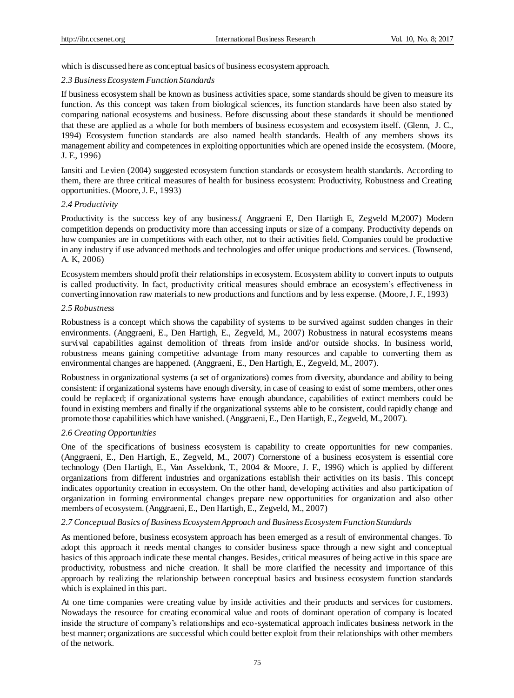which is discussed here as conceptual basics of business ecosystem approach.

#### *2.3 Business Ecosystem Function Standards*

If business ecosystem shall be known as business activities space, some standards should be given to measure its function. As this concept was taken from biological sciences, its function standards have been also stated by comparing national ecosystems and business. Before discussing about these standards it should be mentioned that these are applied as a whole for both members of business ecosystem and ecosystem itself. (Glenn, J. C., 1994) Ecosystem function standards are also named health standards. Health of any members shows its management ability and competences in exploiting opportunities which are opened inside the ecosystem. (Moore, J. F., 1996)

Iansiti and Levien (2004) suggested ecosystem function standards or ecosystem health standards. According to them, there are three critical measures of health for business ecosystem: Productivity, Robustness and Creating opportunities. (Moore,J. F., 1993)

#### *2.4 Productivity*

Productivity is the success key of any business.( Anggraeni E, Den Hartigh E, Zegveld M,2007) Modern competition depends on productivity more than accessing inputs or size of a company. Productivity depends on how companies are in competitions with each other, not to their activities field. Companies could be productive in any industry if use advanced methods and technologies and offer unique productions and services. (Townsend, A. K, 2006)

Ecosystem members should profit their relationships in ecosystem. Ecosystem ability to convert inputs to outputs is called productivity. In fact, productivity critical measures should embrace an ecosystem's effectiveness in converting innovation raw materials to new productions and functions and by less expense. (Moore,J. F., 1993)

#### *2.5 Robustness*

Robustness is a concept which shows the capability of systems to be survived against sudden changes in their environments. (Anggraeni, E., Den Hartigh, E., Zegveld, M., 2007) Robustness in natural ecosystems means survival capabilities against demolition of threats from inside and/or outside shocks. In business world, robustness means gaining competitive advantage from many resources and capable to converting them as environmental changes are happened. (Anggraeni, E., Den Hartigh, E., Zegveld, M., 2007).

Robustness in organizational systems (a set of organizations) comes from diversity, abundance and ability to being consistent: if organizational systems have enough diversity, in case of ceasing to exist of some members, other ones could be replaced; if organizational systems have enough abundance, capabilities of extinct members could be found in existing members and finally if the organizational systems able to be consistent, could rapidly change and promote those capabilities which have vanished. (Anggraeni, E., Den Hartigh, E., Zegveld, M., 2007).

# *2.6 Creating Opportunities*

One of the specifications of business ecosystem is capability to create opportunities for new companies. (Anggraeni, E., Den Hartigh, E., Zegveld, M., 2007) Cornerstone of a business ecosystem is essential core technology (Den Hartigh, E., Van Asseldonk, T., 2004 & Moore, J. F., 1996) which is applied by different organizations from different industries and organizations establish their activities on its basis. This concept indicates opportunity creation in ecosystem. On the other hand, developing activities and also participation of organization in forming environmental changes prepare new opportunities for organization and also other members of ecosystem. (Anggraeni, E., Den Hartigh, E., Zegveld, M., 2007)

## *2.7 Conceptual Basics of Business Ecosystem Approach and Business Ecosystem Function Standards*

As mentioned before, business ecosystem approach has been emerged as a result of environmental changes. To adopt this approach it needs mental changes to consider business space through a new sight and conceptual basics of this approach indicate these mental changes. Besides, critical measures of being active in this space are productivity, robustness and niche creation. It shall be more clarified the necessity and importance of this approach by realizing the relationship between conceptual basics and business ecosystem function standards which is explained in this part.

At one time companies were creating value by inside activities and their products and services for customers. Nowadays the resource for creating economical value and roots of dominant operation of company is located inside the structure of company's relationships and eco-systematical approach indicates business network in the best manner; organizations are successful which could better exploit from their relationships with other members of the network.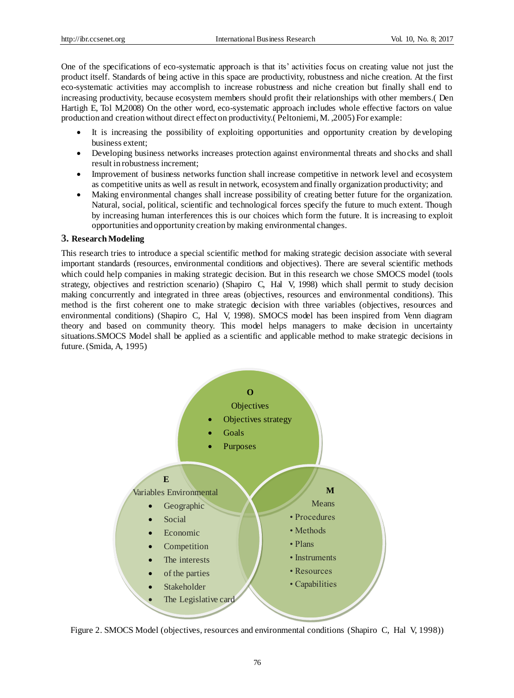One of the specifications of eco-systematic approach is that its' activities focus on creating value not just the product itself. Standards of being active in this space are productivity, robustness and niche creation. At the first eco-systematic activities may accomplish to increase robustness and niche creation but finally shall end to increasing productivity, because ecosystem members should profit their relationships with other members.( Den Hartigh E, Tol M,2008) On the other word, eco-systematic approach includes whole effective factors on value production and creation without direct effect on productivity.( Peltoniemi, M. ,2005) For example:

- It is increasing the possibility of exploiting opportunities and opportunity creation by developing business extent;
- Developing business networks increases protection against environmental threats and shocks and shall result in robustness increment;
- Improvement of business networks function shall increase competitive in network level and ecosystem as competitive units as well as result in network, ecosystem and finally organization productivity; and
- Making environmental changes shall increase possibility of creating better future for the organization. Natural, social, political, scientific and technological forces specify the future to much extent. Though by increasing human interferences this is our choices which form the future. It is increasing to exploit opportunities and opportunity creation by making environmental changes.

# **3. Research Modeling**

This research tries to introduce a special scientific method for making strategic decision associate with several important standards (resources, environmental conditions and objectives). There are several scientific methods which could help companies in making strategic decision. But in this research we chose SMOCS model (tools strategy, objectives and restriction scenario) (Shapiro C, Hal V, 1998) which shall permit to study decision making concurrently and integrated in three areas (objectives, resources and environmental conditions). This method is the first coherent one to make strategic decision with three variables (objectives, resources and environmental conditions) (Shapiro C, Hal V, 1998). SMOCS model has been inspired from Venn diagram theory and based on community theory. This model helps managers to make decision in uncertainty situations.SMOCS Model shall be applied as a scientific and applicable method to make strategic decisions in future.(Smida, A, 1995)



Figure 2. SMOCS Model (objectives, resources and environmental conditions (Shapiro C, Hal V, 1998))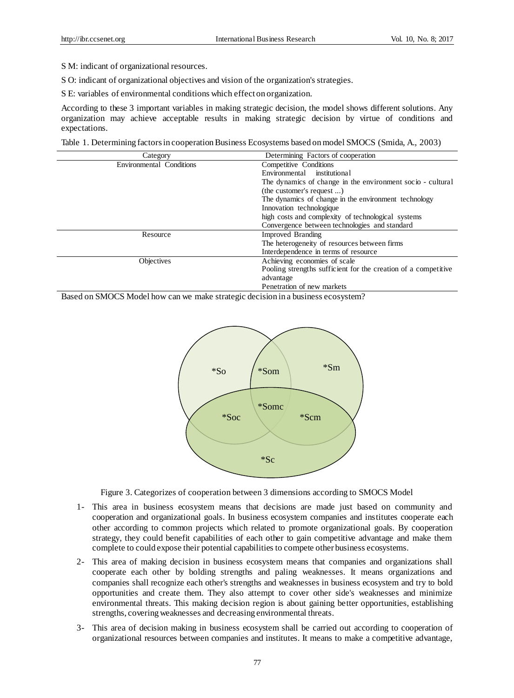S M: indicant of organizational resources.

S O: indicant of organizational objectives and vision of the organization's strategies.

S E: variables of environmental conditions which effect on organization.

According to these 3 important variables in making strategic decision, the model shows different solutions. Any organization may achieve acceptable results in making strategic decision by virtue of conditions and expectations.

Table 1. Determining factors in cooperation Business Ecosystems based on model SMOCS (Smida, A., 2003)

| Category                 | Determining Factors of cooperation                             |
|--------------------------|----------------------------------------------------------------|
| Environmental Conditions | Competitive Conditions                                         |
|                          | Environmental institutional                                    |
|                          | The dynamics of change in the environment socio - cultural     |
|                          | (the customer's request )                                      |
|                          | The dynamics of change in the environment technology           |
|                          | Innovation technologique                                       |
|                          | high costs and complexity of technological systems             |
|                          | Convergence between technologies and standard                  |
| Resource                 | <b>Improved Branding</b>                                       |
|                          | The heterogeneity of resources between firms                   |
|                          | Interdependence in terms of resource                           |
| <b>Objectives</b>        | Achieving economies of scale                                   |
|                          | Pooling strengths sufficient for the creation of a competitive |
|                          | advantage                                                      |
|                          | Penetration of new markets                                     |

Based on SMOCS Model how can we make strategic decision in a business ecosystem?



Figure 3. Categorizes of cooperation between 3 dimensions according to SMOCS Model

- 1- This area in business ecosystem means that decisions are made just based on community and cooperation and organizational goals. In business ecosystem companies and institutes cooperate each other according to common projects which related to promote organizational goals. By cooperation strategy, they could benefit capabilities of each other to gain competitive advantage and make them complete to could expose their potential capabilities to compete other business ecosystems.
- 2- This area of making decision in business ecosystem means that companies and organizations shall cooperate each other by bolding strengths and paling weaknesses. It means organizations and companies shall recognize each other's strengths and weaknesses in business ecosystem and try to bold opportunities and create them. They also attempt to cover other side's weaknesses and minimize environmental threats. This making decision region is about gaining better opportunities, establishing strengths, covering weaknesses and decreasing environmental threats.
- 3- This area of decision making in business ecosystem shall be carried out according to cooperation of organizational resources between companies and institutes. It means to make a competitive advantage,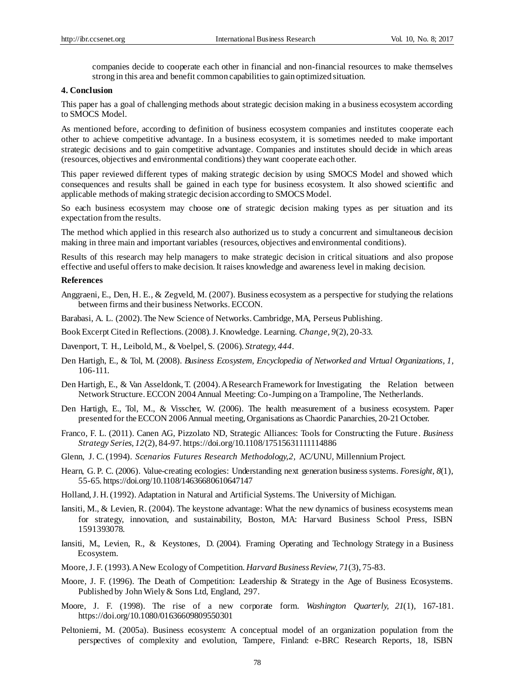companies decide to cooperate each other in financial and non-financial resources to make themselves strong in this area and benefit common capabilities to gain optimized situation.

#### **4. Conclusion**

This paper has a goal of challenging methods about strategic decision making in a business ecosystem according to SMOCS Model.

As mentioned before, according to definition of business ecosystem companies and institutes cooperate each other to achieve competitive advantage. In a business ecosystem, it is sometimes needed to make important strategic decisions and to gain competitive advantage. Companies and institutes should decide in which areas (resources, objectives and environmental conditions) they want cooperate each other.

This paper reviewed different types of making strategic decision by using SMOCS Model and showed which consequences and results shall be gained in each type for business ecosystem. It also showed scientific and applicable methods of making strategic decision according to SMOCS Model.

So each business ecosystem may choose one of strategic decision making types as per situation and its expectation from the results.

The method which applied in this research also authorized us to study a concurrent and simultaneous decision making in three main and important variables (resources, objectives and environmental conditions).

Results of this research may help managers to make strategic decision in critical situations and also propose effective and useful offers to make decision. It raises knowledge and awareness level in making decision.

#### **References**

Anggraeni, E., Den, H. E., & Zegveld, M. (2007). Business ecosystem as a perspective for studying the relations between firms and their business Networks. ECCON.

Barabasi, A. L. (2002). The New Science of Networks. Cambridge, MA, Perseus Publishing.

Book Excerpt Cited in Reflections. (2008). J. Knowledge. Learning. *Change, 9*(2), 20-33.

Davenport, T. H., Leibold, M., & Voelpel, S. (2006). *Strategy, 444*.

- Den Hartigh, E., & Tol, M. (2008). *Business Ecosystem, Encyclopedia of Networked and Virtual Organizations, 1,*  106-111.
- Den Hartigh, E., & Van Asseldonk, T. (2004). A Research Framework for Investigating the Relation between Network Structure. ECCON 2004 Annual Meeting: Co-Jumping on a Trampoline, The Netherlands.
- Den Hartigh, E., Tol, M., & Visscher, W. (2006). The health measurement of a business ecosystem. Paper presented for theECCON 2006 Annual meeting, Organisations as Chaordic Panarchies, 20-21 October.
- Franco, F. L. (2011). Canen AG, Pizzolato ND, Strategic Alliances: Tools for Constructing the Future. *Business Strategy Series, 12*(2), 84-97. https://doi.org/10.1108/17515631111114886
- Glenn, J. C. (1994). *Scenarios Futures Research Methodology, 2,* AC/UNU, Millennium Project.
- Hearn, G. P. C. (2006). Value-creating ecologies: Understanding next generation business systems. *Foresight, 8*(1), 55-65. https://doi.org/10.1108/14636680610647147

Holland,J. H. (1992). Adaptation in Natural and Artificial Systems. The University of Michigan.

- Iansiti, M., & Levien, R. (2004). The keystone advantage: What the new dynamics of business ecosystems mean for strategy, innovation, and sustainability, Boston, MA: Harvard Business School Press, ISBN 1591393078.
- Iansiti, M., Levien, R., & Keystones, D. (2004). Framing Operating and Technology Strategy in a Business Ecosystem.
- Moore,J. F. (1993). A New Ecology of Competition. *Harvard Business Review, 71*(3), 75-83.
- Moore, J. F. (1996). The Death of Competition: Leadership & Strategy in the Age of Business Ecosystems. Published by John Wiely & Sons Ltd, England, 297.
- Moore, J. F. (1998). The rise of a new corporate form. *Washington Quarterly, 21*(1), 167-181. https://doi.org/10.1080/01636609809550301
- Peltoniemi, M. (2005a). Business ecosystem: A conceptual model of an organization population from the perspectives of complexity and evolution, Tampere, Finland: e-BRC Research Reports, 18, ISBN